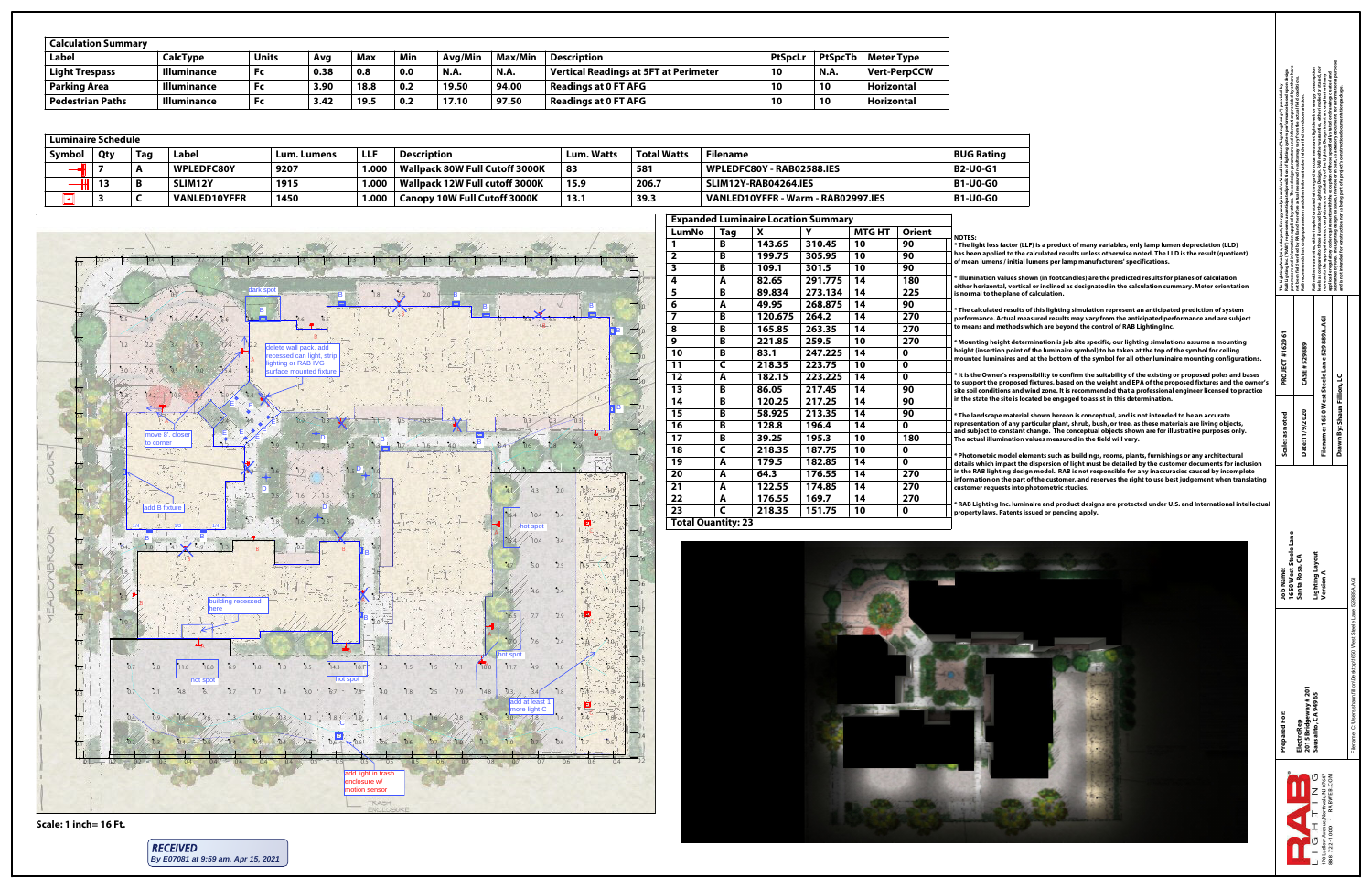|   | arameters and information supplied by others. These design parameters and information provided by others have<br>AB Lighting Inc. ("RAB") represents an anticipated prediction of lighting system performance based upon design<br>he Lighting Analysis, ezLayout, Energy Analysis and/or Visual Simulation ("Lighting Design") provided by<br>œ | ot been field verified by RAB and therefore actual measured results may vary from the actual field conditions.<br>RAB recommends that design parameters and other information be field verified to reduce variation.<br>ċ | levels as compared to those illustrated by the Lighting Design. RAB neither warranties, either implied or stated, nor<br>RAB neither warranties, either implied or stated with regard to actual measured light levels or energy consumption<br>pplicable regulatory code requirements with the exception of those specifically stated on drawings created and<br>represents the appropriateness, completeness or suitability of the Lighting Design intent as compliant with any<br>ಸ | ubmitted by RAB. The Lighting design is issued, in whole or in part, as advisory documents for informational purposes<br>nd is not intended for construction nor as being part of a project's construction documentation package.<br>ū<br>æ |                                                                            |
|---|--------------------------------------------------------------------------------------------------------------------------------------------------------------------------------------------------------------------------------------------------------------------------------------------------------------------------------------------------|---------------------------------------------------------------------------------------------------------------------------------------------------------------------------------------------------------------------------|---------------------------------------------------------------------------------------------------------------------------------------------------------------------------------------------------------------------------------------------------------------------------------------------------------------------------------------------------------------------------------------------------------------------------------------------------------------------------------------|---------------------------------------------------------------------------------------------------------------------------------------------------------------------------------------------------------------------------------------------|----------------------------------------------------------------------------|
| S | PROJECT #162961                                                                                                                                                                                                                                                                                                                                  | CASE #529889                                                                                                                                                                                                              | Filename: 1650 West Steele Lane 529889A.AGI                                                                                                                                                                                                                                                                                                                                                                                                                                           |                                                                                                                                                                                                                                             |                                                                            |
|   | Scale: as noted                                                                                                                                                                                                                                                                                                                                  | Date:11/9/2020                                                                                                                                                                                                            |                                                                                                                                                                                                                                                                                                                                                                                                                                                                                       | Drawn By: Shaun Fillion, LC                                                                                                                                                                                                                 |                                                                            |
|   | 1650 West Steele Lane<br><b>Job Name:</b>                                                                                                                                                                                                                                                                                                        | Santa Rosa, CA                                                                                                                                                                                                            | Lighting Layout<br>Version A                                                                                                                                                                                                                                                                                                                                                                                                                                                          |                                                                                                                                                                                                                                             |                                                                            |
|   | Prepared For:                                                                                                                                                                                                                                                                                                                                    | 2015 Bridgeway # 201<br>ElectroRep                                                                                                                                                                                        | Sausalito, CA 94965                                                                                                                                                                                                                                                                                                                                                                                                                                                                   |                                                                                                                                                                                                                                             | Filename: C:\Users\shaun.fillion\Desktop\1650 West Steele Lane 529889A.AGI |
|   |                                                                                                                                                                                                                                                                                                                                                  |                                                                                                                                                                                                                           | 888722-1000 · RABWEB.COM<br>170 Ludlow Avenue, Northvale, NJ 07647<br>C<br>Z<br>T<br>H<br>J                                                                                                                                                                                                                                                                                                                                                                                           |                                                                                                                                                                                                                                             |                                                                            |

**esults of this lighting simulation represent an anticipated prediction of system** ual measured results may vary from the anticipated performance and are subject **to means and methods which are beyond the control of RAB Lighting Inc.**

**t** determination is job site specific, our lighting simulations assume a mounting **height (insertion point of the luminaire symbol) to be taken at the top of the symbol for ceiling** res and at the bottom of the symbol for all other luminaire mounting configurations.

del elements such as buildings, rooms, plants, furnishings or any architectural act the dispersion of light must be detailed by the customer documents for inclusion **g** design model. RAB is not responsible for any inaccuracies caused by incomplete **i** part of the customer, and reserves the right to use best judgement when translating **customer requests into photometric studies.**

. luminaire and product designs are protected under U.S. and International intellectua **property laws. Patents issued or pending apply.**

**\* It is the Owner's responsibility to confirm the suitability of the existing or proposed poles and bases posed fixtures, based on the weight and EPA of the proposed fixtures and the owner's s** and wind zone. It is recommended that a professional engineer licensed to practice **in the state the site is located be engaged to assist in this determination.**

aterial shown hereon is conceptual, and is not intended to be an accurate any particular plant, shrub, bush, or tree, as these materials are living objects, stant change. The conceptual objects shown are for illustrative purposes only. **The action values measured in the field will vary.** 

| LumNo                     | <b>Tag</b> | X       | Y       | <b>MTG HT</b> | <b>Orient</b>    |                                              |
|---------------------------|------------|---------|---------|---------------|------------------|----------------------------------------------|
| 1                         | B          | 143.65  | 310.45  | 10            | 90               | <b>NOTES:</b><br>* The light loss fact       |
| $\overline{\mathbf{2}}$   | B          | 199.75  | 305.95  | 10            | 90               | has been applied to                          |
| $\overline{\mathbf{3}}$   | B          | 109.1   | 301.5   | 10            | 90               | of mean lumens / ir                          |
| 4                         | A          | 82.65   | 291.775 | 14            | 180              | * Illumination valu                          |
| 5                         | B          | 89.834  | 273.134 | 14            | 225              | either horizontal, v<br>is normal to the pla |
| 6                         | A          | 49.95   | 268.875 | 14            | 90               |                                              |
| $\overline{\mathbf{z}}$   | B          | 120.675 | 264.2   | 14            | 270              | * The calculated res<br>performance. Actua   |
| 8                         | B          | 165.85  | 263.35  | 14            | 270              | to means and meth                            |
| 9                         | B          | 221.85  | 259.5   | 10            | 270              | * Mounting height                            |
| 10                        | B          | 83.1    | 247.225 | 14            | $\boldsymbol{0}$ | height (insertion po                         |
| 11                        | C          | 218.35  | 223.75  | 10            | $\boldsymbol{0}$ | mounted luminaire                            |
| 12                        | A          | 182.15  | 223.225 | 14            | $\boldsymbol{0}$ | * It is the Owner's r                        |
| 13                        | B          | 86.05   | 217.45  | 14            | 90               | to support the prop<br>site soil conditions  |
| 14                        | B          | 120.25  | 217.25  | 14            | 90               | in the state the site                        |
| 15                        | B          | 58.925  | 213.35  | 14            | 90               | * The landscape ma                           |
| 16                        | B          | 128.8   | 196.4   | 14            | $\boldsymbol{0}$ | representation of a                          |
| 17                        | B          | 39.25   | 195.3   | 10            | 180              | and subject to cons<br>The actual illumina   |
| 18                        | C          | 218.35  | 187.75  | 10            | $\boldsymbol{0}$ |                                              |
| 19                        | A          | 179.5   | 182.85  | 14            | 0                | * Photometric mod<br>details which impa      |
| 20                        | A          | 64.3    | 176.55  | 14            | 270              | in the RAB lighting                          |
| 21                        | A          | 122.55  | 174.85  | 14            | 270              | information on the<br>customer requests      |
| 22                        | A          | 176.55  | 169.7   | 14            | 270              |                                              |
| 23                        | C          | 218.35  | 151.75  | 10            | $\mathbf 0$      | * RAB Lighting Inc.<br>property laws. Pate   |
| <b>Total Quantity: 23</b> |            |         |         |               |                  |                                              |



**ttor (LLF) is a product of many variables, only lamp lumen depreciation (LLD)** to the calculated results unless otherwise noted. The LLD is the result (quotient) nitial lumens per lamp manufacturers' specifications.

ues shown (in footcandles) are the predicted results for planes of calculation vertical or inclined as designated in the calculation summary. Meter orientation **ane of calculation.** 

| <b>Luminaire Schedule</b> |            |            |                     |                    |            |                                     |                   |                    |                                    |                   |
|---------------------------|------------|------------|---------------------|--------------------|------------|-------------------------------------|-------------------|--------------------|------------------------------------|-------------------|
| Symbol                    | <b>Qty</b> | <b>Tag</b> | <b>Label</b>        | <b>Lum. Lumens</b> | <b>LLF</b> | <b>Description</b>                  | <b>Lum. Watts</b> | <b>Total Watts</b> | <b>Filename</b>                    | <b>BUG Rating</b> |
|                           |            |            | <b>WPLEDFC80Y</b>   | 9207               | $1.000 +$  | Wallpack 80W Full Cutoff 3000K      | 83                | 581                | WPLEDFC80Y - RAB02588.IES          | <b>B2-U0-G1</b>   |
|                           | 13         |            | SLIM12Y             | 1915               | 1.000      | Wallpack 12W Full cutoff 3000K      | 15.9              | 206.7              | SLIM12Y-RAB04264.IES               | <b>B1-U0-G0</b>   |
|                           |            |            | <b>VANLED10YFFR</b> | 1450               | 1.000      | <b>Canopy 10W Full Cutoff 3000K</b> | 13.1              | 39.3               | VANLED10YFFR - Warm - RAB02997.IES | <b>B1-U0-G0</b>   |

| <b>Calculation Summary</b> |                    |              |      |            |     |             |                |                                              |                |                |                     |
|----------------------------|--------------------|--------------|------|------------|-----|-------------|----------------|----------------------------------------------|----------------|----------------|---------------------|
| Label                      | <b>CalcType</b>    | <b>Units</b> | Avg  | <b>Max</b> | Min | Avg/Min     | <b>Max/Min</b> | <b>Description</b>                           | <b>PtSpcLi</b> | <b>PtSpcTb</b> | <b>Meter Type</b>   |
| <b>Light Trespass</b>      | <b>Illuminance</b> | <b>Fc</b>    | 0.38 | 0.8        | 0.0 | <b>N.A.</b> | N.A.           | <b>Vertical Readings at 5FT at Perimeter</b> | <b>10</b>      | N.A.           | <b>Vert-PerpCCW</b> |
| <b>Parking Area</b>        | <b>Illuminance</b> | <b>Fc</b>    | 3.90 | 18.8       | 0.2 | 19.50       | 94.00          | <b>Readings at 0 FT AFG</b>                  | 10             | 10             | <b>Horizontal</b>   |
| <b>Pedestrian Paths</b>    | <b>Illuminance</b> | <b>Fc</b>    | 3.42 | 19.5       | 0.2 | 17.10       | 97.50          | <b>Readings at 0 FT AFG</b>                  | <b>10</b>      | 10             | <b>Horizontal</b>   |

# **Scale: 1 inch= 16 Ft.**



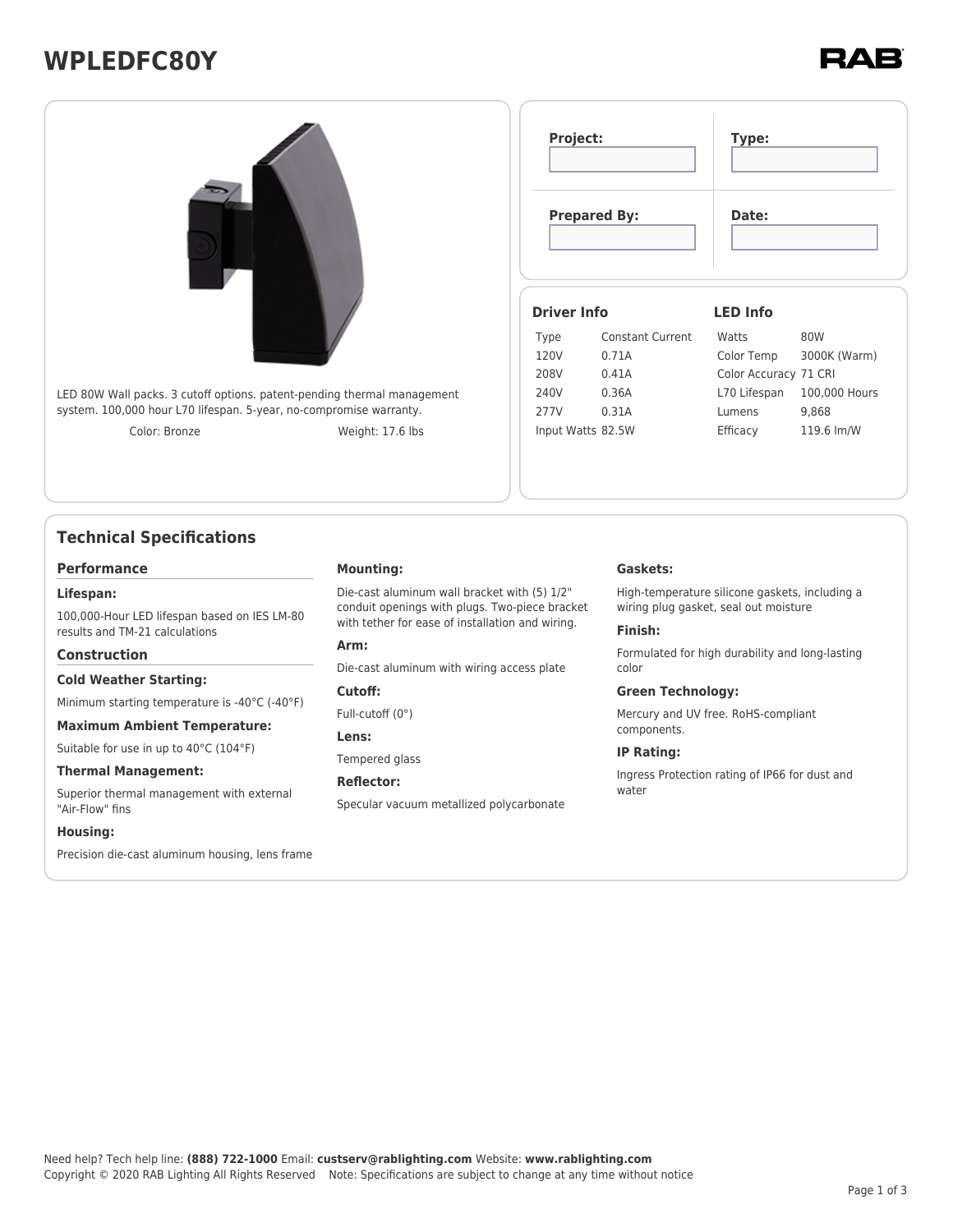# **WPLEDFC80Y**



## **Technical Specifications**

#### **Performance**

#### **Lifespan:**

100,000-Hour LED lifespan based on IES LM-80 results and TM-21 calculations

#### **Construction**

#### **Cold Weather Starting:**

Minimum starting temperature is -40°C (-40°F)

#### **Maximum Ambient Temperature:**

Suitable for use in up to 40°C (104°F)

#### **Thermal Management:**

Superior thermal management with external "Air-Flow" fins

#### **Housing:**

Precision die-cast aluminum housing, lens frame

#### **Mounting:**

Die-cast aluminum wall bracket with (5) 1/2" conduit openings with plugs. Two-piece bracket with tether for ease of installation and wiring.

#### **Arm:**

Die-cast aluminum with wiring access plate

#### **Cutoff:**

Full-cutoff (0°)

#### **Lens:**

Tempered glass

#### **Reflector:**

Specular vacuum metallized polycarbonate

#### **Gaskets:**

High-temperature silicone gaskets, including a wiring plug gasket, seal out moisture

#### **Finish:**

Formulated for high durability and long-lasting color

#### **Green Technology:**

Mercury and UV free. RoHS-compliant components.

#### **IP Rating:**

Ingress Protection rating of IP66 for dust and water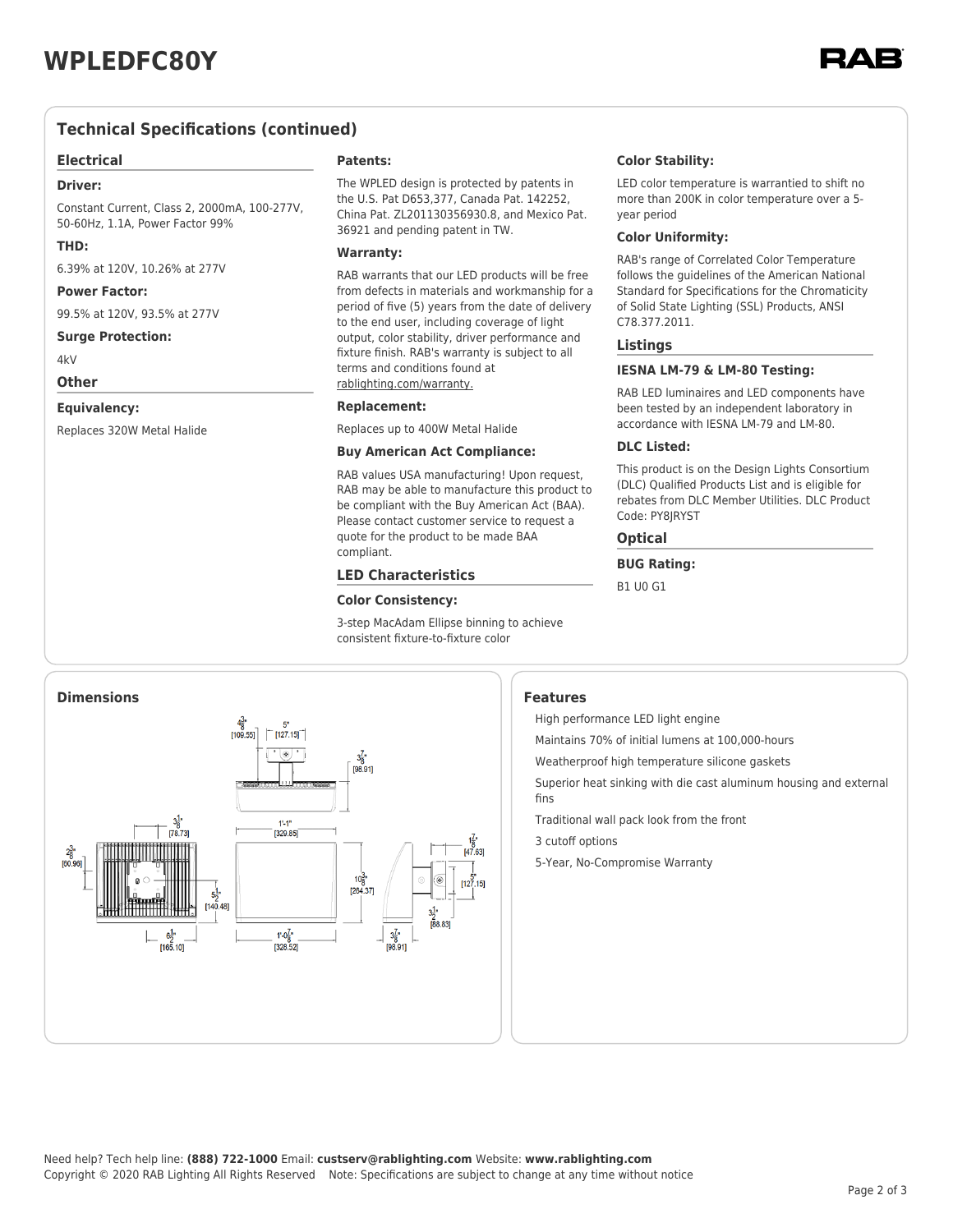### **Technical Specifications (continued)**

#### **Electrical**

#### **Driver:**

Constant Current, Class 2, 2000mA, 100-277V, 50-60Hz, 1.1A, Power Factor 99%

#### **THD:**

6.39% at 120V, 10.26% at 277V

#### **Power Factor:**

99.5% at 120V, 93.5% at 277V

#### **Surge Protection:**

 $4kV$ 

### **Other**

### **Equivalency:**

Replaces 320W Metal Halide

#### **Patents:**

The WPLED design is protected by patents in the U.S. Pat D653,377, Canada Pat. 142252, China Pat. ZL201130356930.8, and Mexico Pat. 36921 and pending patent in TW.

#### **Warranty:**

RAB warrants that our LED products will be free from defects in materials and workmanship for a period of five (5) years from the date of delivery to the end user, including coverage of light output, color stability, driver performance and fixture finish. RAB's warranty is subject to all terms and conditions found at [rablighting.com/warranty.](https://www.rablighting.com/legal#warranty)

#### **Replacement:**

Replaces up to 400W Metal Halide

#### **Buy American Act Compliance:**

RAB values USA manufacturing! Upon request, RAB may be able to manufacture this product to be compliant with the Buy American Act (BAA). Please contact customer service to request a quote for the product to be made BAA compliant.

#### **LED Characteristics**

#### **Color Consistency:**

3-step MacAdam Ellipse binning to achieve consistent fixture-to-fixture color

#### **Color Stability:**

LED color temperature is warrantied to shift no more than 200K in color temperature over a 5 year period

#### **Color Uniformity:**

RAB's range of Correlated Color Temperature follows the guidelines of the American National Standard for Specifications for the Chromaticity of Solid State Lighting (SSL) Products, ANSI C78.377.2011.

#### **Listings**

#### **IESNA LM-79 & LM-80 Testing:**

RAB LED luminaires and LED components have been tested by an independent laboratory in accordance with IESNA LM-79 and LM-80.

#### **DLC Listed:**

This product is on the Design Lights Consortium (DLC) Qualified Products List and is eligible for rebates from DLC Member Utilities. DLC Product Code: PY8JRYST

#### **Optical**

**BUG Rating:**

B1 U0 G1



High performance LED light engine

Maintains 70% of initial lumens at 100,000-hours

Weatherproof high temperature silicone gaskets

Superior heat sinking with die cast aluminum housing and external fins

Traditional wall pack look from the front

3 cutoff options

5-Year, No-Compromise Warranty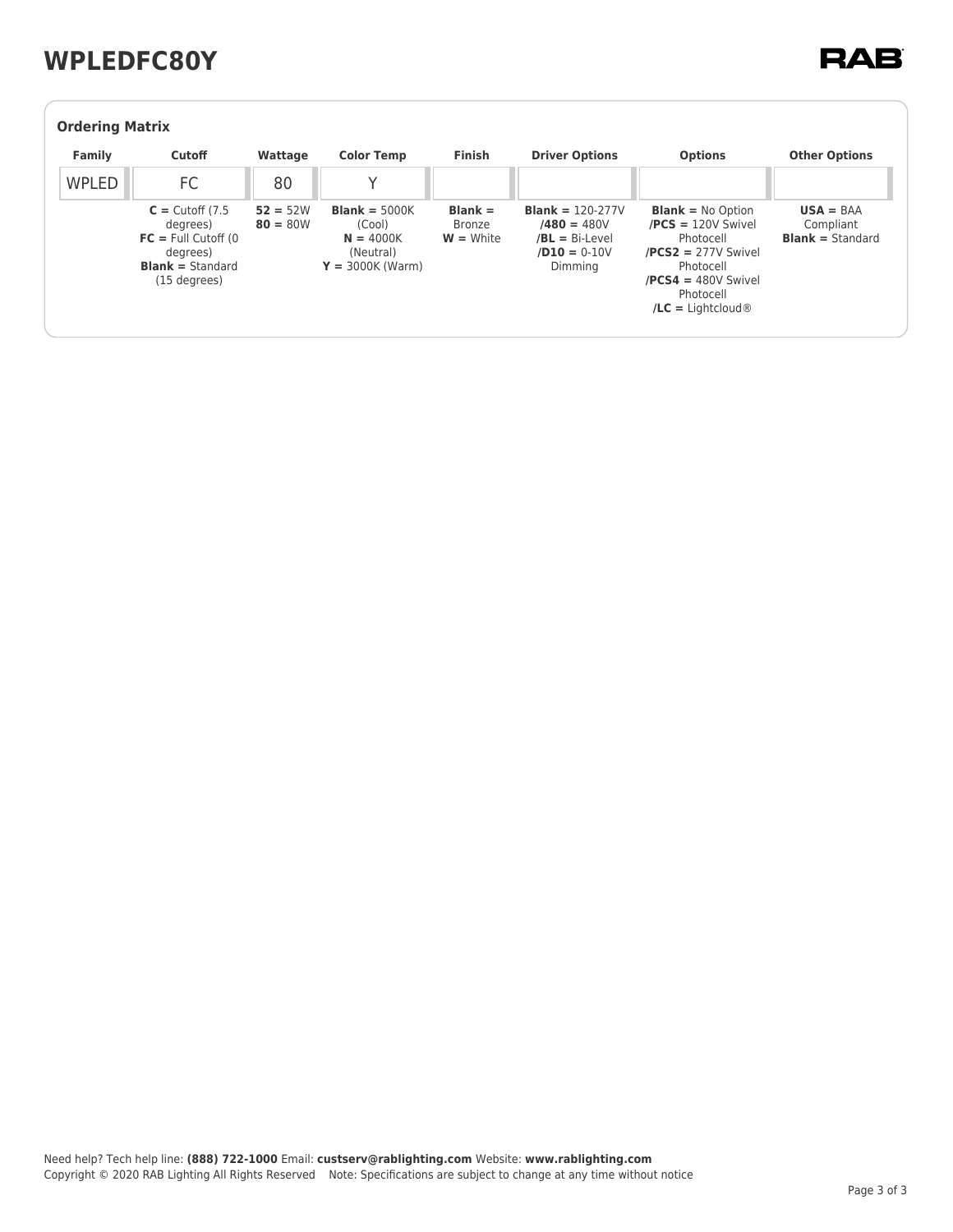# **WPLEDFC80Y**

## **RAB**

| <b>Ordering Matrix</b> |                                                                                                                   |                          |                                                                                    |                                    |                                                                                             |                                                                                                                                                                                             |                                                     |  |  |  |
|------------------------|-------------------------------------------------------------------------------------------------------------------|--------------------------|------------------------------------------------------------------------------------|------------------------------------|---------------------------------------------------------------------------------------------|---------------------------------------------------------------------------------------------------------------------------------------------------------------------------------------------|-----------------------------------------------------|--|--|--|
| Family                 | <b>Cutoff</b>                                                                                                     | Wattage                  | <b>Color Temp</b>                                                                  | <b>Finish</b>                      | <b>Driver Options</b>                                                                       | <b>Options</b>                                                                                                                                                                              | <b>Other Options</b>                                |  |  |  |
| <b>WPLED</b>           | FC                                                                                                                | 80                       |                                                                                    |                                    |                                                                                             |                                                                                                                                                                                             |                                                     |  |  |  |
|                        | $C =$ Cutoff (7.5)<br>degrees)<br>$FC = Full Cutoff (0)$<br>degrees)<br><b>Blank</b> = Standard<br>$(15$ degrees) | $52 = 52W$<br>$80 = 80W$ | <b>Blank</b> = $5000K$<br>(Cool)<br>$N = 4000K$<br>(Neutral)<br>$Y = 3000K$ (Warm) | $Blank =$<br>Bronze<br>$W =$ White | <b>Blank</b> = $120-277V$<br>$/480 = 480V$<br>$/BL = Bi-Level$<br>$/D10 = 0-10V$<br>Dimming | <b>Blank</b> = $No$ Option<br>$/PCS = 120V$ Swivel<br>Photocell<br>$/PCS2 = 277V$ Swivel<br>Photocell<br>$/PCS4 = 480V$ Swivel<br>Photocell<br>$\angle$ <b>LC</b> = Lightcloud <sup>®</sup> | $USA = BAA$<br>Compliant<br><b>Blank</b> = Standard |  |  |  |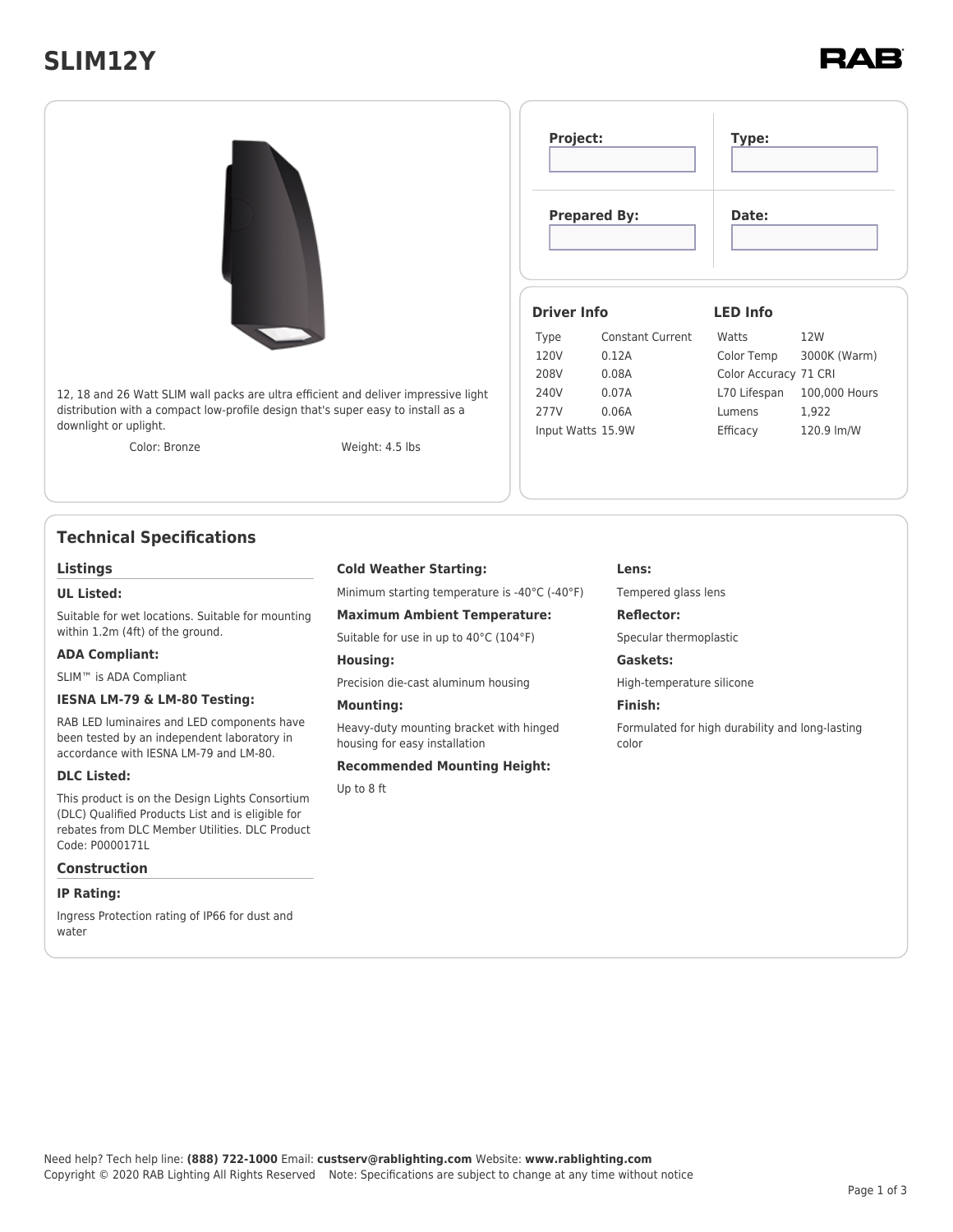# **SLIM12Y**



## **Technical Specifications**

#### **Listings**

#### **UL Listed:**

Suitable for wet locations. Suitable for mounting within 1.2m (4ft) of the ground.

#### **ADA Compliant:**

SLIM™ is ADA Compliant

#### **IESNA LM-79 & LM-80 Testing:**

RAB LED luminaires and LED components have been tested by an independent laboratory in accordance with IESNA LM-79 and LM-80.

#### **DLC Listed:**

This product is on the Design Lights Consortium (DLC) Qualified Products List and is eligible for rebates from DLC Member Utilities. DLC Product Code: P0000171L

### **Construction**

#### **IP Rating:**

Ingress Protection rating of IP66 for dust and water

#### **Cold Weather Starting:**

Minimum starting temperature is -40°C (-40°F)

**Maximum Ambient Temperature:**

Suitable for use in up to 40°C (104°F)

**Housing:**

Precision die-cast aluminum housing

#### **Mounting:**

Heavy-duty mounting bracket with hinged housing for easy installation

#### **Recommended Mounting Height:**

Up to 8 ft

#### **Lens:**

Tempered glass lens

#### **Reflector:**

Specular thermoplastic

### **Gaskets:**

High-temperature silicone

#### **Finish:**

Formulated for high durability and long-lasting color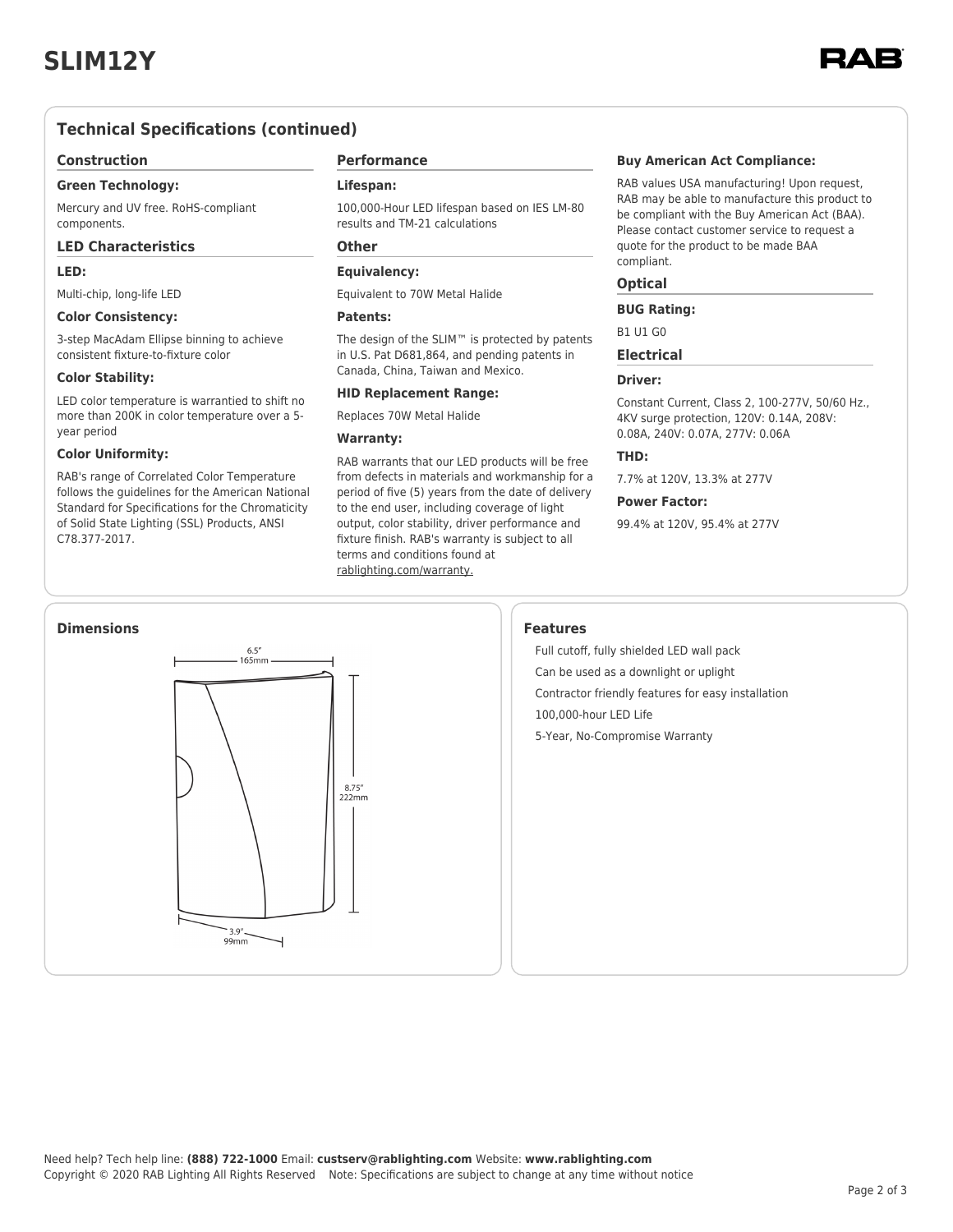

### **Technical Specifications (continued)**

#### **Construction**

#### **Green Technology:**

Mercury and UV free. RoHS-compliant components.

#### **LED Characteristics**

#### **LED:**

Multi-chip, long-life LED

#### **Color Consistency:**

3-step MacAdam Ellipse binning to achieve consistent fixture-to-fixture color

#### **Color Stability:**

LED color temperature is warrantied to shift no more than 200K in color temperature over a 5 year period

#### **Color Uniformity:**

RAB's range of Correlated Color Temperature follows the guidelines for the American National Standard for Specifications for the Chromaticity of Solid State Lighting (SSL) Products, ANSI C78.377-2017.

### **Performance**

#### **Lifespan:**

100,000-Hour LED lifespan based on IES LM-80 results and TM-21 calculations

### **Other**

### **Equivalency:**

Equivalent to 70W Metal Halide

#### **Patents:**

The design of the SLIM™ is protected by patents in U.S. Pat D681,864, and pending patents in Canada, China, Taiwan and Mexico.

#### **HID Replacement Range:**

Replaces 70W Metal Halide

#### **Warranty:**

RAB warrants that our LED products will be free from defects in materials and workmanship for a period of five (5) years from the date of delivery to the end user, including coverage of light output, color stability, driver performance and fixture finish. RAB's warranty is subject to all terms and conditions found at [rablighting.com/warranty.](https://www.rablighting.com/legal#warranty)

#### **Buy American Act Compliance:**

RAB values USA manufacturing! Upon request, RAB may be able to manufacture this product to be compliant with the Buy American Act (BAA). Please contact customer service to request a quote for the product to be made BAA compliant.

#### **Optical**

#### **BUG Rating:**

B1 U1 G0

**Electrical**

#### **Driver:**

Constant Current, Class 2, 100-277V, 50/60 Hz., 4KV surge protection, 120V: 0.14A, 208V: 0.08A, 240V: 0.07A, 277V: 0.06A

#### **THD:**

7.7% at 120V, 13.3% at 277V

#### **Power Factor:**

99.4% at 120V, 95.4% at 277V

Full cutoff, fully shielded LED wall pack Can be used as a downlight or uplight Contractor friendly features for easy installation 100,000-hour LED Life 5-Year, No-Compromise Warranty

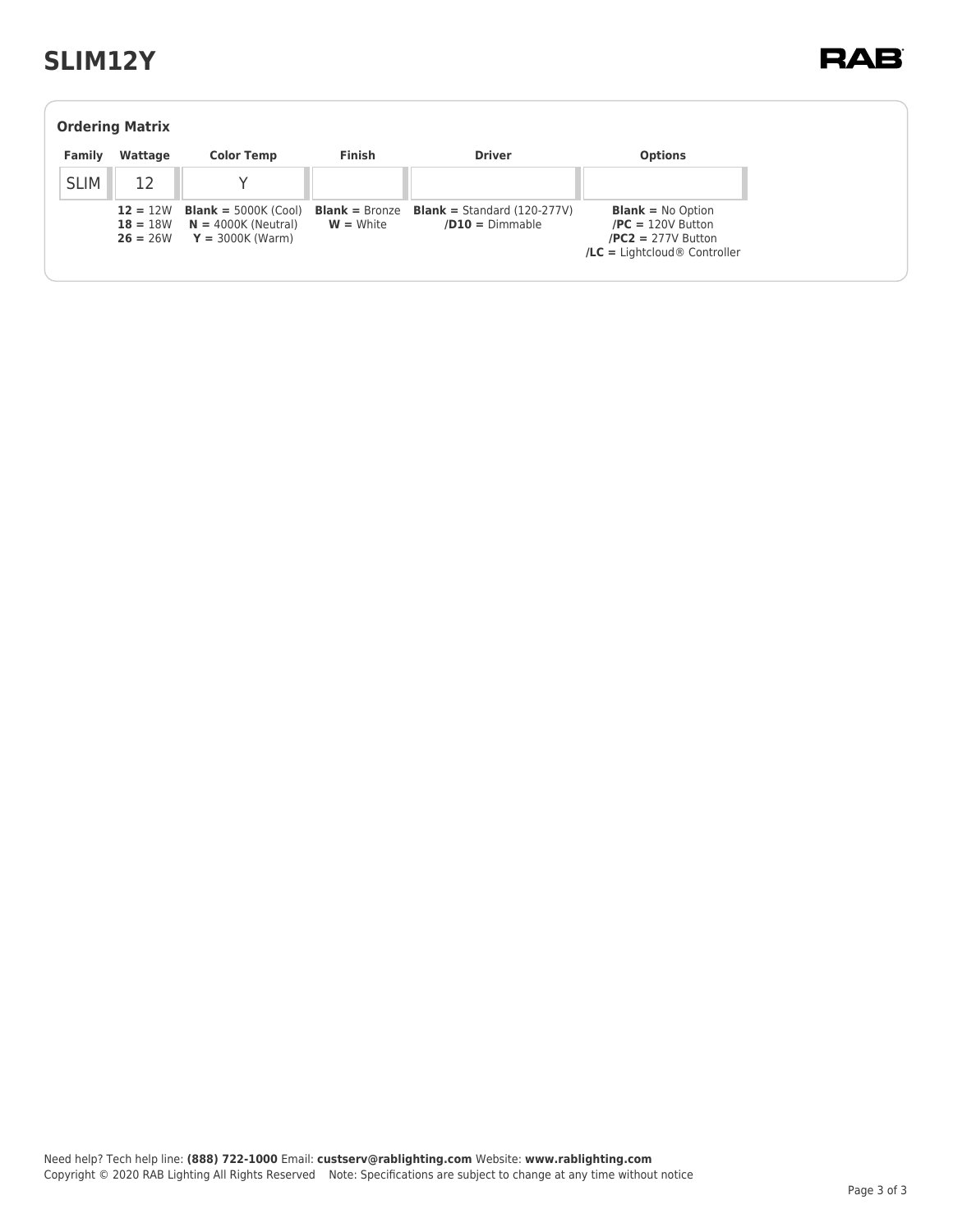# **SLIM12Y**

| <b>Ordering Matrix</b> |                                        |                                                                                                    |               |                                                           |                                                                                                                     |  |  |  |  |
|------------------------|----------------------------------------|----------------------------------------------------------------------------------------------------|---------------|-----------------------------------------------------------|---------------------------------------------------------------------------------------------------------------------|--|--|--|--|
| Family                 | Wattage                                | <b>Color Temp</b>                                                                                  | <b>Finish</b> | <b>Driver</b>                                             | <b>Options</b>                                                                                                      |  |  |  |  |
| <b>SLIM</b>            | 12                                     |                                                                                                    |               |                                                           |                                                                                                                     |  |  |  |  |
|                        | $12 = 12W$<br>$18 = 18W$<br>$26 = 26W$ | <b>Blank</b> = $5000K$ (Cool) <b>Blank</b> = Bronze<br>$N = 4000K$ (Neutral)<br>$Y = 3000K$ (Warm) | $W = White$   | <b>Blank</b> = Standard $(120-277V)$<br>$/D10 = Dimmable$ | <b>Blank</b> = $No$ Option<br>$/PC = 120V$ Button<br>$/PC2 = 277V$ Button<br>$\text{/LC}$ = Lightcloud ® Controller |  |  |  |  |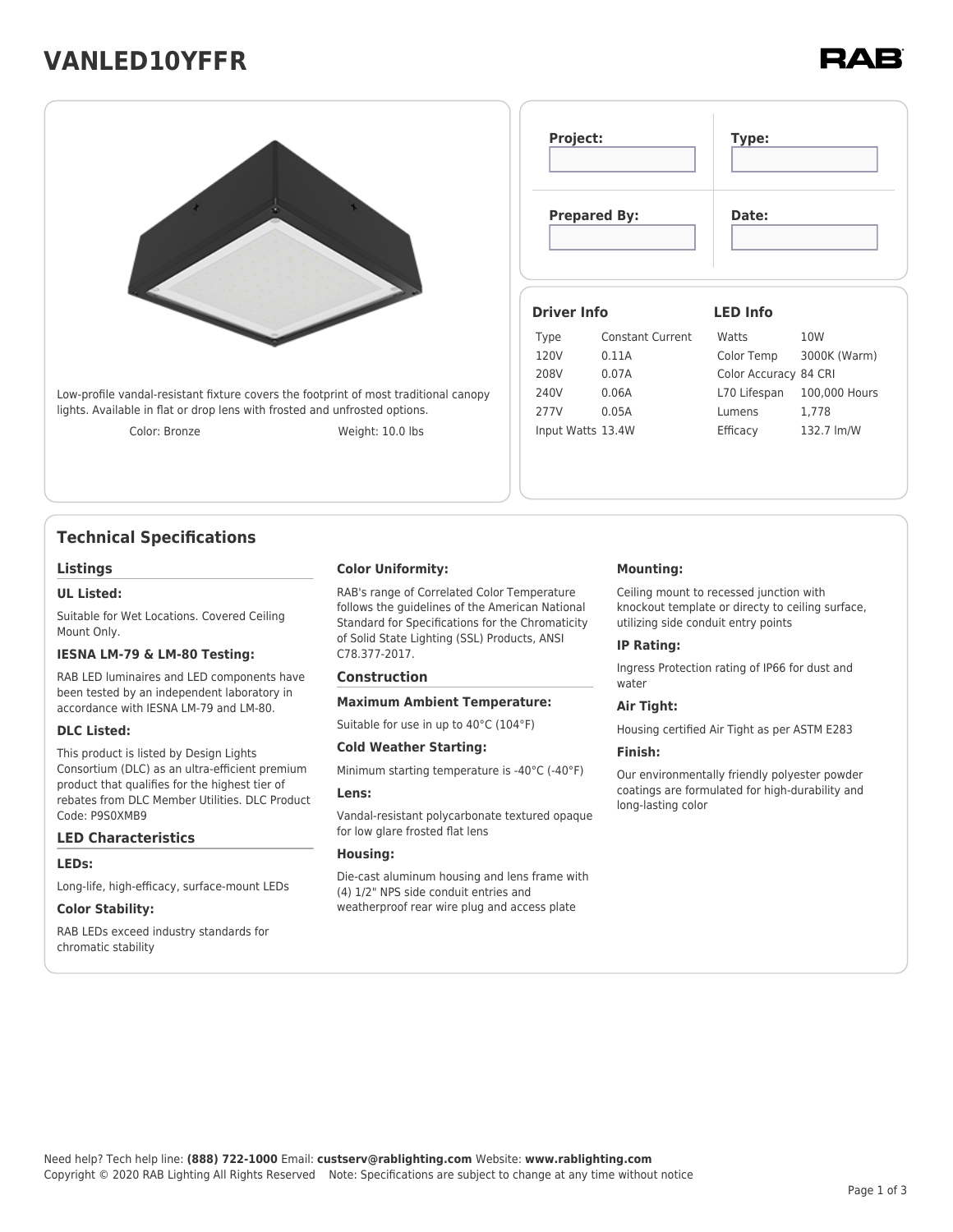# **VANLED10YFFR**



Low-profile vandal-resistant fixture covers the footprint of most traditional canopy lights. Available in flat or drop lens with frosted and unfrosted options.

Color: Bronze Weight: 10.0 lbs

## **Technical Specifications**

#### **Listings**

#### **UL Listed:**

Suitable for Wet Locations. Covered Ceiling Mount Only.

#### **IESNA LM-79 & LM-80 Testing:**

RAB LED luminaires and LED components have been tested by an independent laboratory in accordance with IESNA LM-79 and LM-80.

#### **DLC Listed:**

This product is listed by Design Lights Consortium (DLC) as an ultra-efficient premium product that qualifies for the highest tier of rebates from DLC Member Utilities. DLC Product Code: P9S0XMB9

#### **LED Characteristics**

#### **LEDs:**

Long-life, high-efficacy, surface-mount LEDs

#### **Color Stability:**

RAB LEDs exceed industry standards for chromatic stability

#### **Color Uniformity:**

RAB's range of Correlated Color Temperature follows the guidelines of the American National Standard for Specifications for the Chromaticity of Solid State Lighting (SSL) Products, ANSI C78.377-2017.

#### **Construction**

#### **Maximum Ambient Temperature:**

Suitable for use in up to 40°C (104°F)

#### **Cold Weather Starting:**

Minimum starting temperature is -40°C (-40°F)

#### **Lens:**

Vandal-resistant polycarbonate textured opaque for low glare frosted flat lens

#### **Housing:**

Die-cast aluminum housing and lens frame with (4) 1/2" NPS side conduit entries and weatherproof rear wire plug and access plate

#### **Mounting:**

**Project: Type:**

**Prepared By: Date:**

**Driver Info**

120V 0.11A 208V 0.07A 240V 0.06A 277V 0.05A Input Watts 13.4W

Type Constant Current

Ceiling mount to recessed junction with knockout template or directy to ceiling surface, utilizing side conduit entry points

**LED Info**

Watts 10W

Color Temp 3000K (Warm) Color Accuracy 84 CRI L70 Lifespan 100,000 Hours Lumens 1,778 Efficacy 132.7 lm/W

#### **IP Rating:**

Ingress Protection rating of IP66 for dust and water

#### **Air Tight:**

Housing certified Air Tight as per ASTM E283

#### **Finish:**

Our environmentally friendly polyester powder coatings are formulated for high-durability and long-lasting color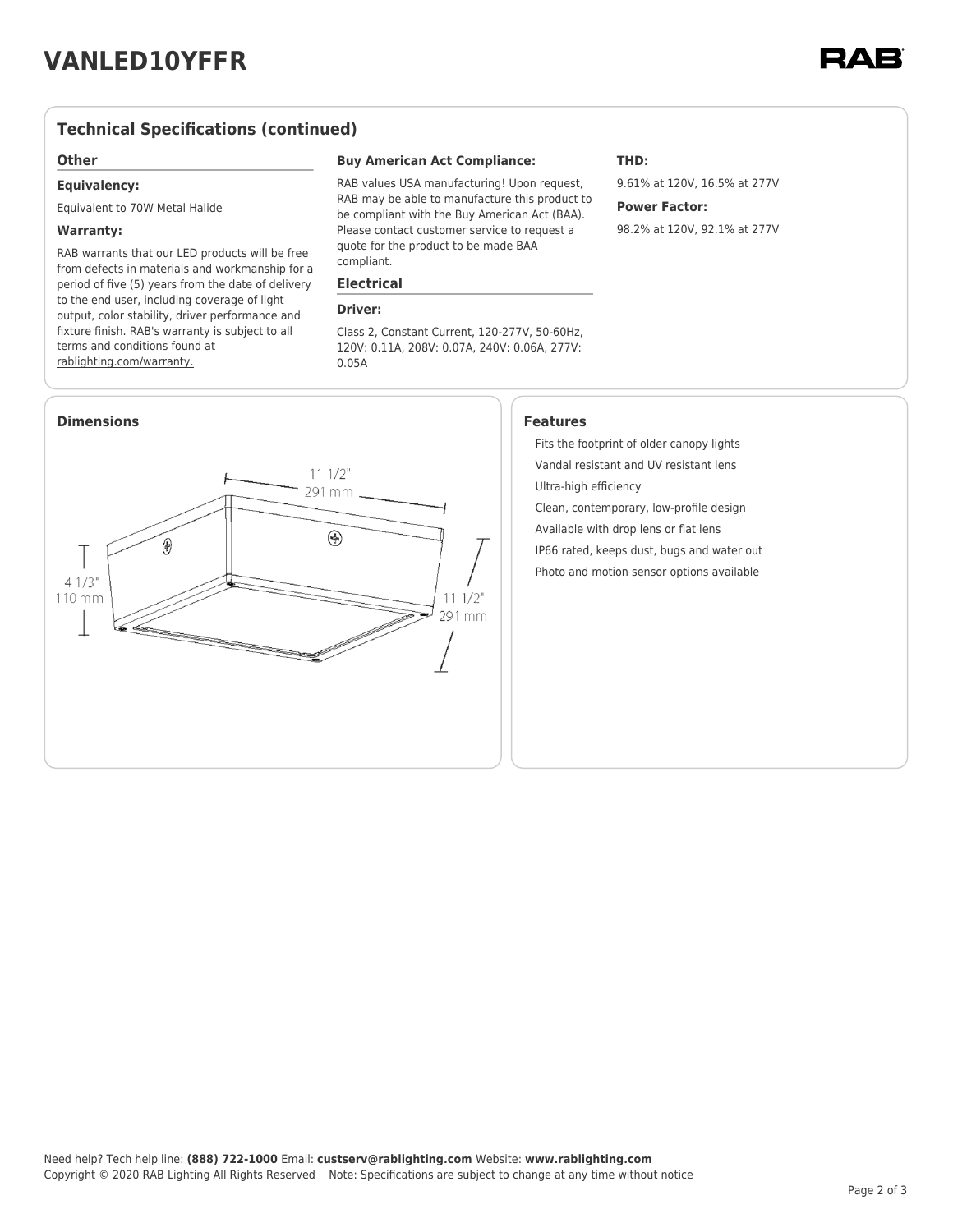## **Technical Specifications (continued)**

#### **Other**

#### **Equivalency:**

Equivalent to 70W Metal Halide

#### **Warranty:**

RAB warrants that our LED products will be free from defects in materials and workmanship for a period of five (5) years from the date of delivery to the end user, including coverage of light output, color stability, driver performance and fixture finish. RAB's warranty is subject to all terms and conditions found at [rablighting.com/warranty.](https://www.rablighting.com/legal#warranty)

#### **Buy American Act Compliance:**

RAB values USA manufacturing! Upon request, RAB may be able to manufacture this product to be compliant with the Buy American Act (BAA). Please contact customer service to request a quote for the product to be made BAA compliant.

#### **Electrical**

#### **Driver:**

Class 2, Constant Current, 120-277V, 50-60Hz, 120V: 0.11A, 208V: 0.07A, 240V: 0.06A, 277V: 0.05A



### **THD:**

9.61% at 120V, 16.5% at 277V

### **Power Factor:**

98.2% at 120V, 92.1% at 277V

Fits the footprint of older canopy lights Vandal resistant and UV resistant lens Ultra-high efficiency Clean, contemporary, low-profile design

Available with drop lens or flat lens IP66 rated, keeps dust, bugs and water out Photo and motion sensor options available